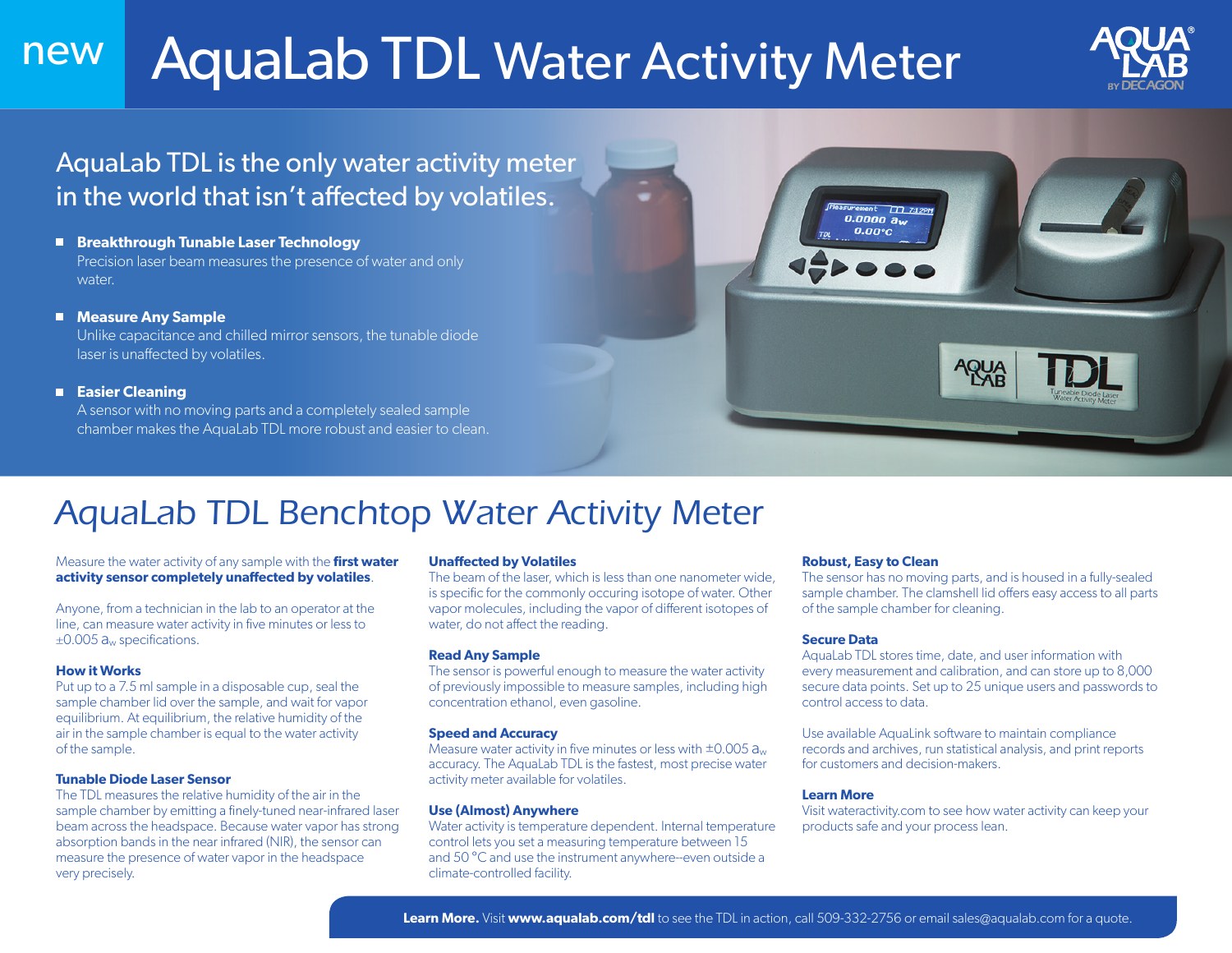## AquaLab TDL Water Activity Meter new



## AquaLab TDL is the only water activity meter in the world that isn't affected by volatiles.

- **Breakthrough Tunable Laser Technology** Precision laser beam measures the presence of water and only water.
- **Measure Any Sample** Unlike capacitance and chilled mirror sensors, the tunable diode

laser is unaffected by volatiles.

#### **Easier Cleaning**

A sensor with no moving parts and a completely sealed sample chamber makes the AquaLab TDL more robust and easier to clean.



# *AquaLab TDL Benchtop Water Activity Meter*

#### Measure the water activity of any sample with the **first water activity sensor completely unaffected by volatiles**.

Anyone, from a technician in the lab to an operator at the line, can measure water activity in five minutes or less to *±*0.005 aw specifications.

#### **How it Works**

Put up to a 7.5 ml sample in a disposable cup, seal the sample chamber lid over the sample, and wait for vapor equilibrium. At equilibrium, the relative humidity of the air in the sample chamber is equal to the water activity of the sample.

#### **Tunable Diode Laser Sensor**

The TDL measures the relative humidity of the air in the sample chamber by emitting a finely-tuned near-infrared laser beam across the headspace. Because water vapor has strong absorption bands in the near infrared (NIR), the sensor can measure the presence of water vapor in the headspace very precisely.

#### **Unaffected by Volatiles**

The beam of the laser, which is less than one nanometer wide, is specific for the commonly occuring isotope of water. Other vapor molecules, including the vapor of different isotopes of water, do not affect the reading.

#### **Read Any Sample**

The sensor is powerful enough to measure the water activity of previously impossible to measure samples, including high concentration ethanol, even gasoline.

#### **Speed and Accuracy**

Measure water activity in five minutes or less with  $\pm 0.005$   $a_w$ accuracy. The AquaLab TDL is the fastest, most precise water activity meter available for volatiles.

#### **Use (Almost) Anywhere**

Water activity is temperature dependent. Internal temperature control lets you set a measuring temperature between 15 and 50 °C and use the instrument anywhere--even outside a climate-controlled facility.

#### **Robust, Easy to Clean**

The sensor has no moving parts, and is housed in a fully-sealed sample chamber. The clamshell lid offers easy access to all parts of the sample chamber for cleaning.

#### **Secure Data**

AquaLab TDL stores time, date, and user information with every measurement and calibration, and can store up to 8,000 secure data points. Set up to 25 unique users and passwords to control access to data.

Use available AquaLink software to maintain compliance records and archives, run statistical analysis, and print reports for customers and decision-makers.

#### **Learn More**

Visit wateractivity.com to see how water activity can keep your products safe and your process lean.